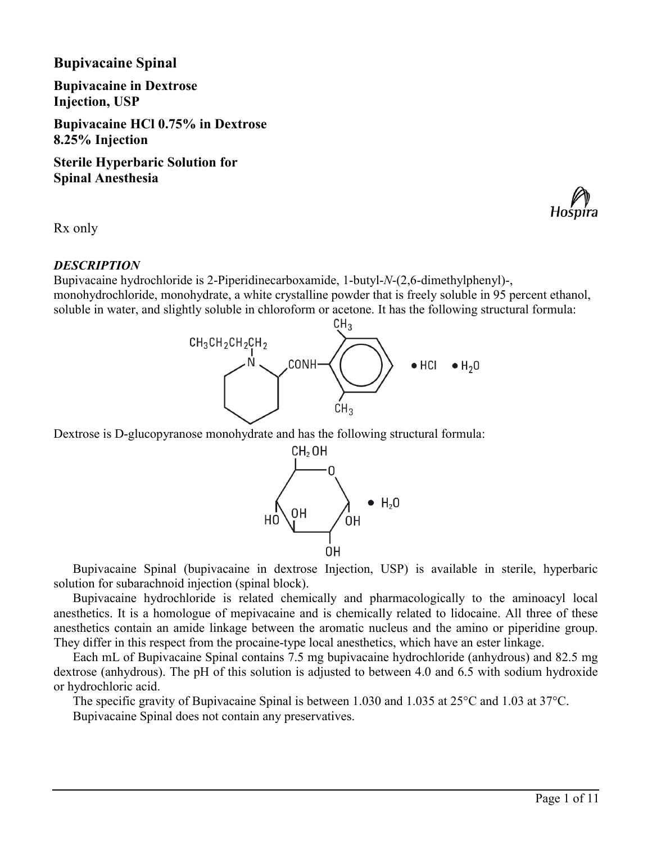# **Bupivacaine Spinal**

**Bupivacaine in Dextrose Injection, USP**

**Bupivacaine HCl 0.75% in Dextrose 8.25% Injection**

**Sterile Hyperbaric Solution for Spinal Anesthesia**



Rx only

## *DESCRIPTION*

Bupivacaine hydrochloride is 2-Piperidinecarboxamide, 1-butyl-*N*-(2,6-dimethylphenyl)-, monohydrochloride, monohydrate, a white crystalline powder that is freely soluble in 95 percent ethanol, soluble in water, and slightly soluble in chloroform or acetone. It has the following structural formula:



Dextrose is D-glucopyranose monohydrate and has the following structural formula:



Bupivacaine Spinal (bupivacaine in dextrose Injection, USP) is available in sterile, hyperbaric solution for subarachnoid injection (spinal block).

Bupivacaine hydrochloride is related chemically and pharmacologically to the aminoacyl local anesthetics. It is a homologue of mepivacaine and is chemically related to lidocaine. All three of these anesthetics contain an amide linkage between the aromatic nucleus and the amino or piperidine group. They differ in this respect from the procaine-type local anesthetics, which have an ester linkage.

Each mL of Bupivacaine Spinal contains 7.5 mg bupivacaine hydrochloride (anhydrous) and 82.5 mg dextrose (anhydrous). The pH of this solution is adjusted to between 4.0 and 6.5 with sodium hydroxide or hydrochloric acid.

The specific gravity of Bupivacaine Spinal is between 1.030 and 1.035 at 25°C and 1.03 at 37°C. Bupivacaine Spinal does not contain any preservatives.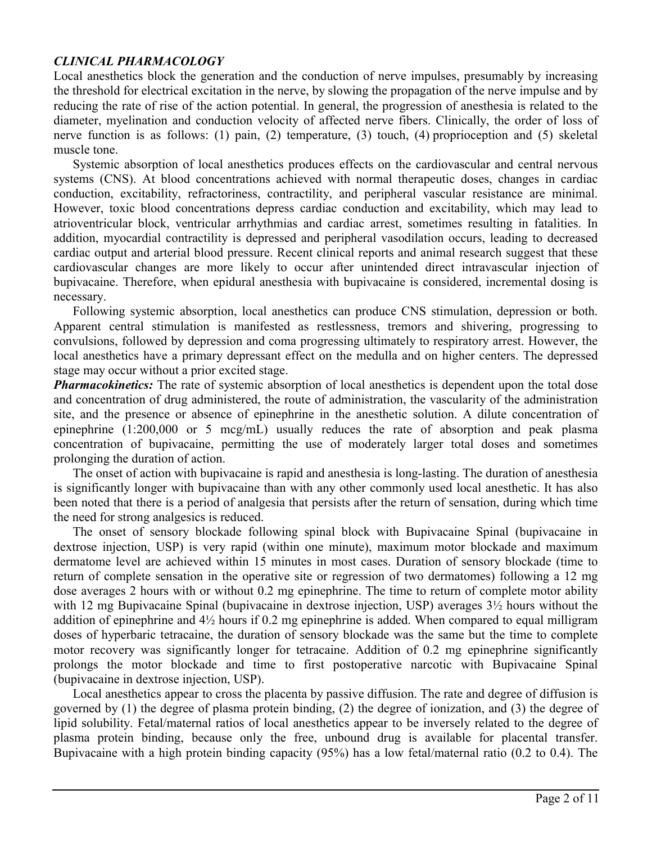## *CLINICAL PHARMACOLOGY*

Local anesthetics block the generation and the conduction of nerve impulses, presumably by increasing the threshold for electrical excitation in the nerve, by slowing the propagation of the nerve impulse and by reducing the rate of rise of the action potential. In general, the progression of anesthesia is related to the diameter, myelination and conduction velocity of affected nerve fibers. Clinically, the order of loss of nerve function is as follows: (1) pain, (2) temperature, (3) touch, (4) proprioception and (5) skeletal muscle tone.

Systemic absorption of local anesthetics produces effects on the cardiovascular and central nervous systems (CNS). At blood concentrations achieved with normal therapeutic doses, changes in cardiac conduction, excitability, refractoriness, contractility, and peripheral vascular resistance are minimal. However, toxic blood concentrations depress cardiac conduction and excitability, which may lead to atrioventricular block, ventricular arrhythmias and cardiac arrest, sometimes resulting in fatalities. In addition, myocardial contractility is depressed and peripheral vasodilation occurs, leading to decreased cardiac output and arterial blood pressure. Recent clinical reports and animal research suggest that these cardiovascular changes are more likely to occur after unintended direct intravascular injection of bupivacaine. Therefore, when epidural anesthesia with bupivacaine is considered, incremental dosing is necessary.

Following systemic absorption, local anesthetics can produce CNS stimulation, depression or both. Apparent central stimulation is manifested as restlessness, tremors and shivering, progressing to convulsions, followed by depression and coma progressing ultimately to respiratory arrest. However, the local anesthetics have a primary depressant effect on the medulla and on higher centers. The depressed stage may occur without a prior excited stage.

*Pharmacokinetics:* The rate of systemic absorption of local anesthetics is dependent upon the total dose and concentration of drug administered, the route of administration, the vascularity of the administration site, and the presence or absence of epinephrine in the anesthetic solution. A dilute concentration of epinephrine (1:200,000 or 5 mcg/mL) usually reduces the rate of absorption and peak plasma concentration of bupivacaine, permitting the use of moderately larger total doses and sometimes prolonging the duration of action.

The onset of action with bupivacaine is rapid and anesthesia is long-lasting. The duration of anesthesia is significantly longer with bupivacaine than with any other commonly used local anesthetic. It has also been noted that there is a period of analgesia that persists after the return of sensation, during which time the need for strong analgesics is reduced.

The onset of sensory blockade following spinal block with Bupivacaine Spinal (bupivacaine in dextrose injection, USP) is very rapid (within one minute), maximum motor blockade and maximum dermatome level are achieved within 15 minutes in most cases. Duration of sensory blockade (time to return of complete sensation in the operative site or regression of two dermatomes) following a 12 mg dose averages 2 hours with or without 0.2 mg epinephrine. The time to return of complete motor ability with 12 mg Bupivacaine Spinal (bupivacaine in dextrose injection, USP) averages 3½ hours without the addition of epinephrine and 4½ hours if 0.2 mg epinephrine is added. When compared to equal milligram doses of hyperbaric tetracaine, the duration of sensory blockade was the same but the time to complete motor recovery was significantly longer for tetracaine. Addition of 0.2 mg epinephrine significantly prolongs the motor blockade and time to first postoperative narcotic with Bupivacaine Spinal (bupivacaine in dextrose injection, USP).

Local anesthetics appear to cross the placenta by passive diffusion. The rate and degree of diffusion is governed by (1) the degree of plasma protein binding, (2) the degree of ionization, and (3) the degree of lipid solubility. Fetal/maternal ratios of local anesthetics appear to be inversely related to the degree of plasma protein binding, because only the free, unbound drug is available for placental transfer. Bupivacaine with a high protein binding capacity (95%) has a low fetal/maternal ratio (0.2 to 0.4). The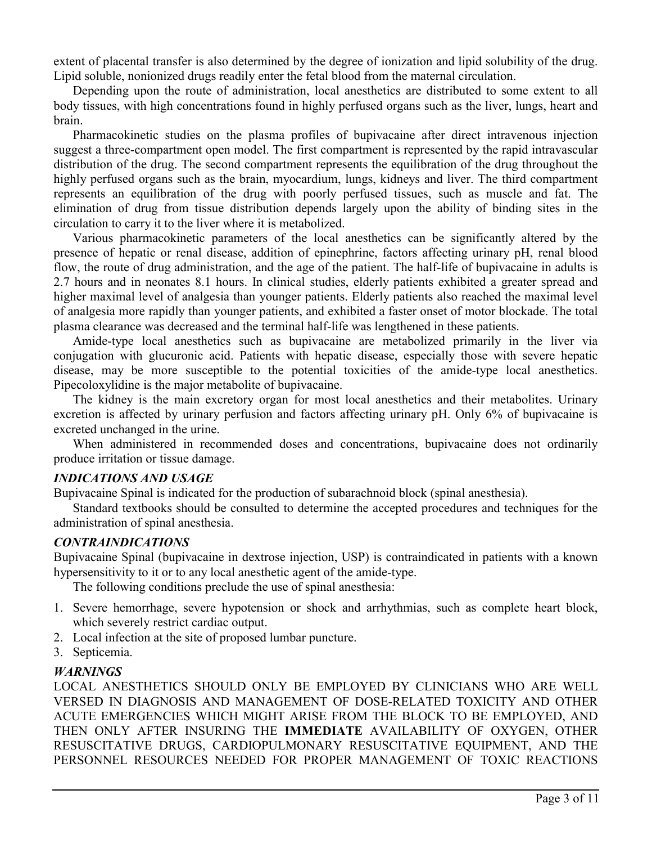extent of placental transfer is also determined by the degree of ionization and lipid solubility of the drug. Lipid soluble, nonionized drugs readily enter the fetal blood from the maternal circulation.

Depending upon the route of administration, local anesthetics are distributed to some extent to all body tissues, with high concentrations found in highly perfused organs such as the liver, lungs, heart and brain.

Pharmacokinetic studies on the plasma profiles of bupivacaine after direct intravenous injection suggest a three-compartment open model. The first compartment is represented by the rapid intravascular distribution of the drug. The second compartment represents the equilibration of the drug throughout the highly perfused organs such as the brain, myocardium, lungs, kidneys and liver. The third compartment represents an equilibration of the drug with poorly perfused tissues, such as muscle and fat. The elimination of drug from tissue distribution depends largely upon the ability of binding sites in the circulation to carry it to the liver where it is metabolized.

Various pharmacokinetic parameters of the local anesthetics can be significantly altered by the presence of hepatic or renal disease, addition of epinephrine, factors affecting urinary pH, renal blood flow, the route of drug administration, and the age of the patient. The half-life of bupivacaine in adults is 2.7 hours and in neonates 8.1 hours. In clinical studies, elderly patients exhibited a greater spread and higher maximal level of analgesia than younger patients. Elderly patients also reached the maximal level of analgesia more rapidly than younger patients, and exhibited a faster onset of motor blockade. The total plasma clearance was decreased and the terminal half-life was lengthened in these patients.

Amide-type local anesthetics such as bupivacaine are metabolized primarily in the liver via conjugation with glucuronic acid. Patients with hepatic disease, especially those with severe hepatic disease, may be more susceptible to the potential toxicities of the amide-type local anesthetics. Pipecoloxylidine is the major metabolite of bupivacaine.

The kidney is the main excretory organ for most local anesthetics and their metabolites. Urinary excretion is affected by urinary perfusion and factors affecting urinary pH. Only 6% of bupivacaine is excreted unchanged in the urine.

When administered in recommended doses and concentrations, bupivacaine does not ordinarily produce irritation or tissue damage.

#### *INDICATIONS AND USAGE*

Bupivacaine Spinal is indicated for the production of subarachnoid block (spinal anesthesia).

Standard textbooks should be consulted to determine the accepted procedures and techniques for the administration of spinal anesthesia.

## *CONTRAINDICATIONS*

Bupivacaine Spinal (bupivacaine in dextrose injection, USP) is contraindicated in patients with a known hypersensitivity to it or to any local anesthetic agent of the amide-type.

The following conditions preclude the use of spinal anesthesia:

- 1. Severe hemorrhage, severe hypotension or shock and arrhythmias, such as complete heart block, which severely restrict cardiac output.
- 2. Local infection at the site of proposed lumbar puncture.
- 3. Septicemia.

## *WARNINGS*

LOCAL ANESTHETICS SHOULD ONLY BE EMPLOYED BY CLINICIANS WHO ARE WELL VERSED IN DIAGNOSIS AND MANAGEMENT OF DOSE-RELATED TOXICITY AND OTHER ACUTE EMERGENCIES WHICH MIGHT ARISE FROM THE BLOCK TO BE EMPLOYED, AND THEN ONLY AFTER INSURING THE **IMMEDIATE** AVAILABILITY OF OXYGEN, OTHER RESUSCITATIVE DRUGS, CARDIOPULMONARY RESUSCITATIVE EQUIPMENT, AND THE PERSONNEL RESOURCES NEEDED FOR PROPER MANAGEMENT OF TOXIC REACTIONS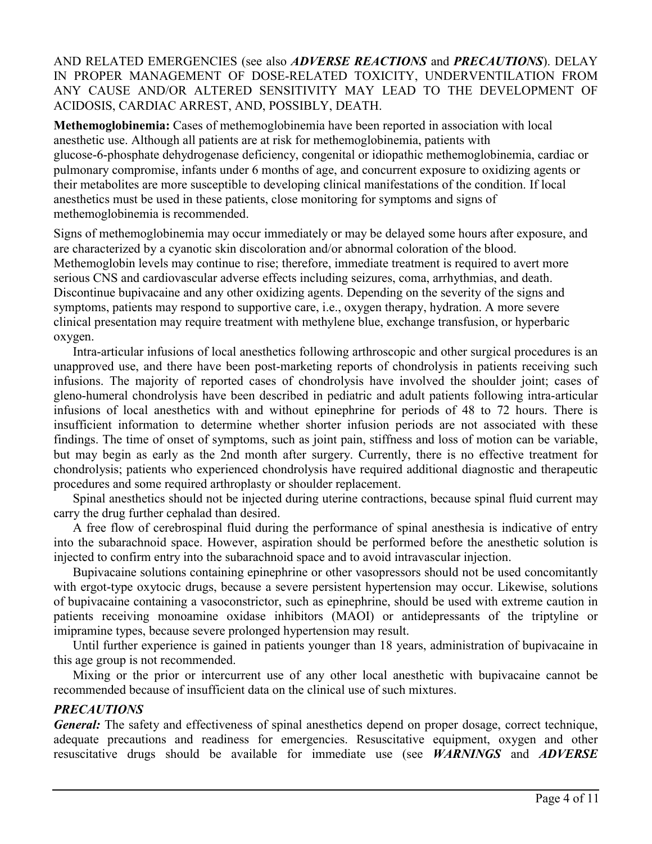AND RELATED EMERGENCIES (see also *ADVERSE REACTIONS* and *PRECAUTIONS*). DELAY IN PROPER MANAGEMENT OF DOSE-RELATED TOXICITY, UNDERVENTILATION FROM ANY CAUSE AND/OR ALTERED SENSITIVITY MAY LEAD TO THE DEVELOPMENT OF ACIDOSIS, CARDIAC ARREST, AND, POSSIBLY, DEATH.

**Methemoglobinemia:** Cases of methemoglobinemia have been reported in association with local anesthetic use. Although all patients are at risk for methemoglobinemia, patients with glucose-6-phosphate dehydrogenase deficiency, congenital or idiopathic methemoglobinemia, cardiac or pulmonary compromise, infants under 6 months of age, and concurrent exposure to oxidizing agents or their metabolites are more susceptible to developing clinical manifestations of the condition. If local anesthetics must be used in these patients, close monitoring for symptoms and signs of methemoglobinemia is recommended.

Signs of methemoglobinemia may occur immediately or may be delayed some hours after exposure, and are characterized by a cyanotic skin discoloration and/or abnormal coloration of the blood. Methemoglobin levels may continue to rise; therefore, immediate treatment is required to avert more serious CNS and cardiovascular adverse effects including seizures, coma, arrhythmias, and death. Discontinue bupivacaine and any other oxidizing agents. Depending on the severity of the signs and symptoms, patients may respond to supportive care, i.e., oxygen therapy, hydration. A more severe clinical presentation may require treatment with methylene blue, exchange transfusion, or hyperbaric oxygen.

Intra-articular infusions of local anesthetics following arthroscopic and other surgical procedures is an unapproved use, and there have been post-marketing reports of chondrolysis in patients receiving such infusions. The majority of reported cases of chondrolysis have involved the shoulder joint; cases of gleno-humeral chondrolysis have been described in pediatric and adult patients following intra-articular infusions of local anesthetics with and without epinephrine for periods of 48 to 72 hours. There is insufficient information to determine whether shorter infusion periods are not associated with these findings. The time of onset of symptoms, such as joint pain, stiffness and loss of motion can be variable, but may begin as early as the 2nd month after surgery. Currently, there is no effective treatment for chondrolysis; patients who experienced chondrolysis have required additional diagnostic and therapeutic procedures and some required arthroplasty or shoulder replacement.

Spinal anesthetics should not be injected during uterine contractions, because spinal fluid current may carry the drug further cephalad than desired.

A free flow of cerebrospinal fluid during the performance of spinal anesthesia is indicative of entry into the subarachnoid space. However, aspiration should be performed before the anesthetic solution is injected to confirm entry into the subarachnoid space and to avoid intravascular injection.

Bupivacaine solutions containing epinephrine or other vasopressors should not be used concomitantly with ergot-type oxytocic drugs, because a severe persistent hypertension may occur. Likewise, solutions of bupivacaine containing a vasoconstrictor, such as epinephrine, should be used with extreme caution in patients receiving monoamine oxidase inhibitors (MAOI) or antidepressants of the triptyline or imipramine types, because severe prolonged hypertension may result.

Until further experience is gained in patients younger than 18 years, administration of bupivacaine in this age group is not recommended.

Mixing or the prior or intercurrent use of any other local anesthetic with bupivacaine cannot be recommended because of insufficient data on the clinical use of such mixtures.

## *PRECAUTIONS*

*General:* The safety and effectiveness of spinal anesthetics depend on proper dosage, correct technique, adequate precautions and readiness for emergencies. Resuscitative equipment, oxygen and other resuscitative drugs should be available for immediate use (see *WARNINGS* and *ADVERSE*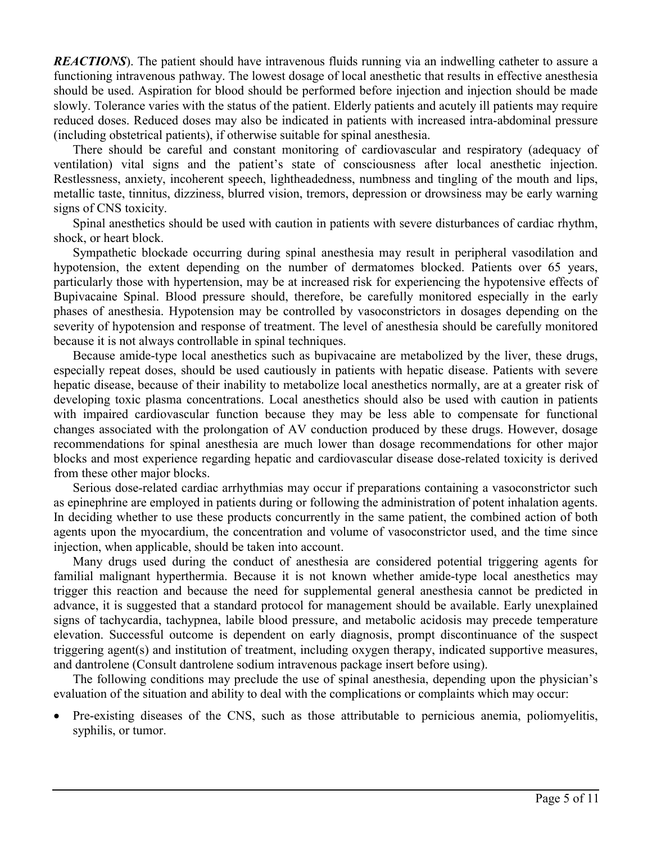*REACTIONS*). The patient should have intravenous fluids running via an indwelling catheter to assure a functioning intravenous pathway. The lowest dosage of local anesthetic that results in effective anesthesia should be used. Aspiration for blood should be performed before injection and injection should be made slowly. Tolerance varies with the status of the patient. Elderly patients and acutely ill patients may require reduced doses. Reduced doses may also be indicated in patients with increased intra-abdominal pressure (including obstetrical patients), if otherwise suitable for spinal anesthesia.

There should be careful and constant monitoring of cardiovascular and respiratory (adequacy of ventilation) vital signs and the patient's state of consciousness after local anesthetic injection. Restlessness, anxiety, incoherent speech, lightheadedness, numbness and tingling of the mouth and lips, metallic taste, tinnitus, dizziness, blurred vision, tremors, depression or drowsiness may be early warning signs of CNS toxicity.

Spinal anesthetics should be used with caution in patients with severe disturbances of cardiac rhythm, shock, or heart block.

Sympathetic blockade occurring during spinal anesthesia may result in peripheral vasodilation and hypotension, the extent depending on the number of dermatomes blocked. Patients over 65 years, particularly those with hypertension, may be at increased risk for experiencing the hypotensive effects of Bupivacaine Spinal. Blood pressure should, therefore, be carefully monitored especially in the early phases of anesthesia. Hypotension may be controlled by vasoconstrictors in dosages depending on the severity of hypotension and response of treatment. The level of anesthesia should be carefully monitored because it is not always controllable in spinal techniques.

Because amide-type local anesthetics such as bupivacaine are metabolized by the liver, these drugs, especially repeat doses, should be used cautiously in patients with hepatic disease. Patients with severe hepatic disease, because of their inability to metabolize local anesthetics normally, are at a greater risk of developing toxic plasma concentrations. Local anesthetics should also be used with caution in patients with impaired cardiovascular function because they may be less able to compensate for functional changes associated with the prolongation of AV conduction produced by these drugs. However, dosage recommendations for spinal anesthesia are much lower than dosage recommendations for other major blocks and most experience regarding hepatic and cardiovascular disease dose-related toxicity is derived from these other major blocks.

Serious dose-related cardiac arrhythmias may occur if preparations containing a vasoconstrictor such as epinephrine are employed in patients during or following the administration of potent inhalation agents. In deciding whether to use these products concurrently in the same patient, the combined action of both agents upon the myocardium, the concentration and volume of vasoconstrictor used, and the time since injection, when applicable, should be taken into account.

Many drugs used during the conduct of anesthesia are considered potential triggering agents for familial malignant hyperthermia. Because it is not known whether amide-type local anesthetics may trigger this reaction and because the need for supplemental general anesthesia cannot be predicted in advance, it is suggested that a standard protocol for management should be available. Early unexplained signs of tachycardia, tachypnea, labile blood pressure, and metabolic acidosis may precede temperature elevation. Successful outcome is dependent on early diagnosis, prompt discontinuance of the suspect triggering agent(s) and institution of treatment, including oxygen therapy, indicated supportive measures, and dantrolene (Consult dantrolene sodium intravenous package insert before using).

The following conditions may preclude the use of spinal anesthesia, depending upon the physician's evaluation of the situation and ability to deal with the complications or complaints which may occur:

 Pre-existing diseases of the CNS, such as those attributable to pernicious anemia, poliomyelitis, syphilis, or tumor.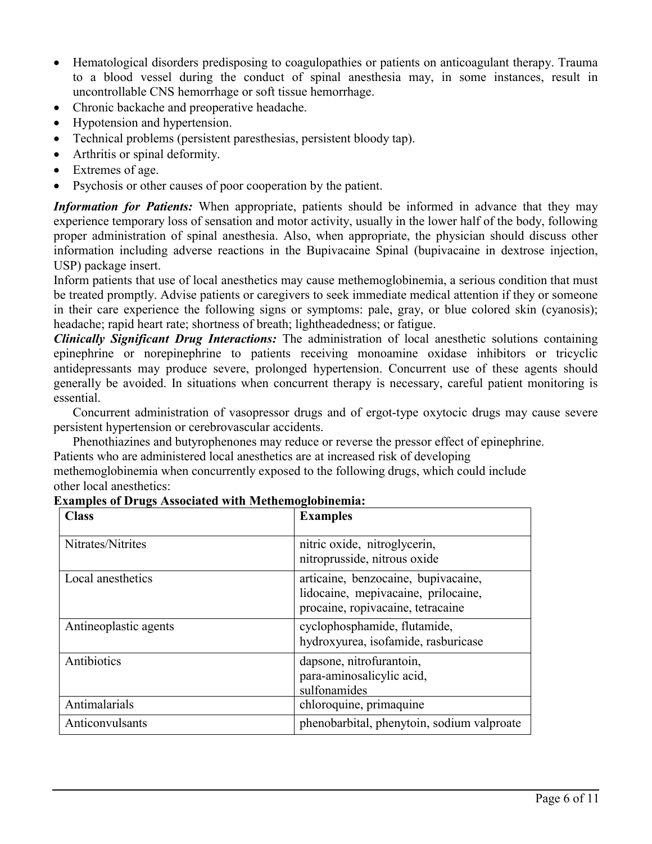- Hematological disorders predisposing to coagulopathies or patients on anticoagulant therapy. Trauma to a blood vessel during the conduct of spinal anesthesia may, in some instances, result in uncontrollable CNS hemorrhage or soft tissue hemorrhage.
- Chronic backache and preoperative headache.
- Hypotension and hypertension.
- Technical problems (persistent paresthesias, persistent bloody tap).
- Arthritis or spinal deformity.
- Extremes of age.
- Psychosis or other causes of poor cooperation by the patient.

*Information for Patients:* When appropriate, patients should be informed in advance that they may experience temporary loss of sensation and motor activity, usually in the lower half of the body, following proper administration of spinal anesthesia. Also, when appropriate, the physician should discuss other information including adverse reactions in the Bupivacaine Spinal (bupivacaine in dextrose injection, USP) package insert.

Inform patients that use of local anesthetics may cause methemoglobinemia, a serious condition that must be treated promptly. Advise patients or caregivers to seek immediate medical attention if they or someone in their care experience the following signs or symptoms: pale, gray, or blue colored skin (cyanosis); headache; rapid heart rate; shortness of breath; lightheadedness; or fatigue.

*Clinically Significant Drug Interactions:* The administration of local anesthetic solutions containing epinephrine or norepinephrine to patients receiving monoamine oxidase inhibitors or tricyclic antidepressants may produce severe, prolonged hypertension. Concurrent use of these agents should generally be avoided. In situations when concurrent therapy is necessary, careful patient monitoring is essential.

Concurrent administration of vasopressor drugs and of ergot-type oxytocic drugs may cause severe persistent hypertension or cerebrovascular accidents.

Phenothiazines and butyrophenones may reduce or reverse the pressor effect of epinephrine. Patients who are administered local anesthetics are at increased risk of developing

methemoglobinemia when concurrently exposed to the following drugs, which could include other local anesthetics:

| <b>Class</b>          | <b>Examples</b>                                                                                                 |
|-----------------------|-----------------------------------------------------------------------------------------------------------------|
| Nitrates/Nitrites     | nitric oxide, nitroglycerin,<br>nitroprusside, nitrous oxide                                                    |
| Local anesthetics     | articaine, benzocaine, bupivacaine,<br>lidocaine, mepivacaine, prilocaine,<br>procaine, ropivacaine, tetracaine |
| Antineoplastic agents | cyclophosphamide, flutamide,<br>hydroxyurea, isofamide, rasburicase                                             |
| Antibiotics           | dapsone, nitrofurantoin,<br>para-aminosalicylic acid,<br>sulfonamides                                           |
| Antimalarials         | chloroquine, primaquine                                                                                         |
| Anticonvulsants       | phenobarbital, phenytoin, sodium valproate                                                                      |

## **Examples of Drugs Associated with Methemoglobinemia:**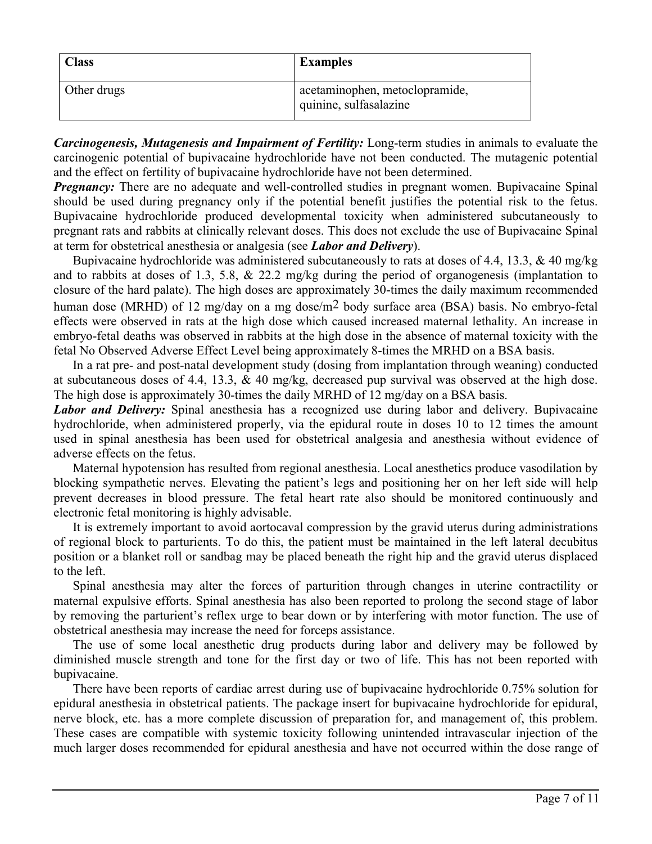| <b>Class</b> | <b>Examples</b>                                          |
|--------------|----------------------------------------------------------|
| Other drugs  | acetaminophen, metoclopramide,<br>quinine, sulfasalazine |

*Carcinogenesis, Mutagenesis and Impairment of Fertility:* Long-term studies in animals to evaluate the carcinogenic potential of bupivacaine hydrochloride have not been conducted. The mutagenic potential and the effect on fertility of bupivacaine hydrochloride have not been determined.

*Pregnancy:* There are no adequate and well-controlled studies in pregnant women. Bupivacaine Spinal should be used during pregnancy only if the potential benefit justifies the potential risk to the fetus. Bupivacaine hydrochloride produced developmental toxicity when administered subcutaneously to pregnant rats and rabbits at clinically relevant doses. This does not exclude the use of Bupivacaine Spinal at term for obstetrical anesthesia or analgesia (see *Labor and Delivery*).

Bupivacaine hydrochloride was administered subcutaneously to rats at doses of 4.4, 13.3, & 40 mg/kg and to rabbits at doses of 1.3, 5.8, & 22.2 mg/kg during the period of organogenesis (implantation to closure of the hard palate). The high doses are approximately 30-times the daily maximum recommended human dose (MRHD) of 12 mg/day on a mg dose/m<sup>2</sup> body surface area (BSA) basis. No embryo-fetal effects were observed in rats at the high dose which caused increased maternal lethality. An increase in embryo-fetal deaths was observed in rabbits at the high dose in the absence of maternal toxicity with the fetal No Observed Adverse Effect Level being approximately 8-times the MRHD on a BSA basis.

In a rat pre- and post-natal development study (dosing from implantation through weaning) conducted at subcutaneous doses of 4.4, 13.3, & 40 mg/kg, decreased pup survival was observed at the high dose. The high dose is approximately 30-times the daily MRHD of 12 mg/day on a BSA basis.

*Labor and Delivery:* Spinal anesthesia has a recognized use during labor and delivery. Bupivacaine hydrochloride, when administered properly, via the epidural route in doses 10 to 12 times the amount used in spinal anesthesia has been used for obstetrical analgesia and anesthesia without evidence of adverse effects on the fetus.

Maternal hypotension has resulted from regional anesthesia. Local anesthetics produce vasodilation by blocking sympathetic nerves. Elevating the patient's legs and positioning her on her left side will help prevent decreases in blood pressure. The fetal heart rate also should be monitored continuously and electronic fetal monitoring is highly advisable.

It is extremely important to avoid aortocaval compression by the gravid uterus during administrations of regional block to parturients. To do this, the patient must be maintained in the left lateral decubitus position or a blanket roll or sandbag may be placed beneath the right hip and the gravid uterus displaced to the left.

Spinal anesthesia may alter the forces of parturition through changes in uterine contractility or maternal expulsive efforts. Spinal anesthesia has also been reported to prolong the second stage of labor by removing the parturient's reflex urge to bear down or by interfering with motor function. The use of obstetrical anesthesia may increase the need for forceps assistance.

The use of some local anesthetic drug products during labor and delivery may be followed by diminished muscle strength and tone for the first day or two of life. This has not been reported with bupivacaine.

There have been reports of cardiac arrest during use of bupivacaine hydrochloride 0.75% solution for epidural anesthesia in obstetrical patients. The package insert for bupivacaine hydrochloride for epidural, nerve block, etc. has a more complete discussion of preparation for, and management of, this problem. These cases are compatible with systemic toxicity following unintended intravascular injection of the much larger doses recommended for epidural anesthesia and have not occurred within the dose range of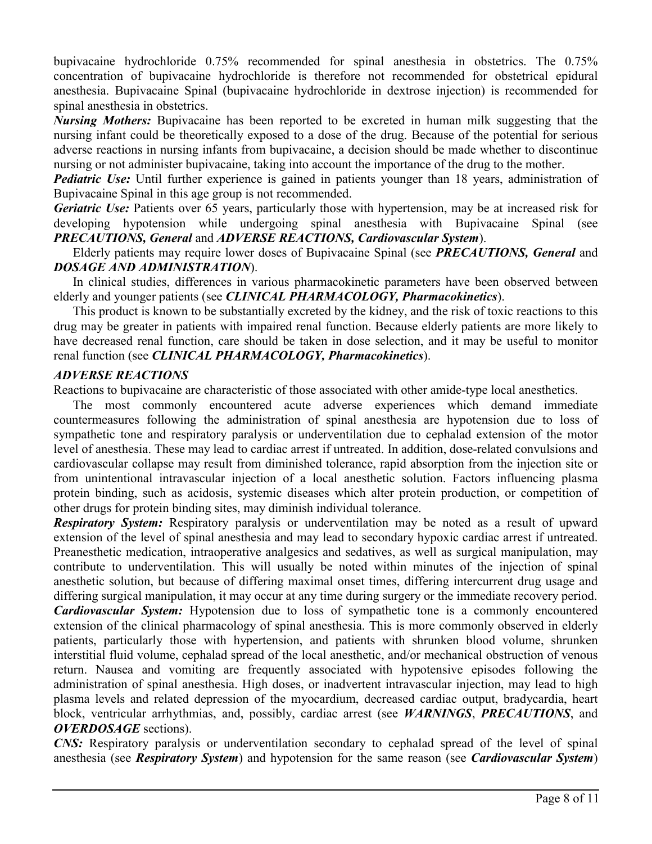bupivacaine hydrochloride 0.75% recommended for spinal anesthesia in obstetrics. The 0.75% concentration of bupivacaine hydrochloride is therefore not recommended for obstetrical epidural anesthesia. Bupivacaine Spinal (bupivacaine hydrochloride in dextrose injection) is recommended for spinal anesthesia in obstetrics.

*Nursing Mothers:* Bupivacaine has been reported to be excreted in human milk suggesting that the nursing infant could be theoretically exposed to a dose of the drug. Because of the potential for serious adverse reactions in nursing infants from bupivacaine, a decision should be made whether to discontinue nursing or not administer bupivacaine, taking into account the importance of the drug to the mother.

*Pediatric Use:* Until further experience is gained in patients younger than 18 years, administration of Bupivacaine Spinal in this age group is not recommended.

*Geriatric Use:* Patients over 65 years, particularly those with hypertension, may be at increased risk for developing hypotension while undergoing spinal anesthesia with Bupivacaine Spinal (see *PRECAUTIONS, General* and *ADVERSE REACTIONS, Cardiovascular System*).

Elderly patients may require lower doses of Bupivacaine Spinal (see *PRECAUTIONS, General* and *DOSAGE AND ADMINISTRATION*).

In clinical studies, differences in various pharmacokinetic parameters have been observed between elderly and younger patients (see *CLINICAL PHARMACOLOGY, Pharmacokinetics*).

This product is known to be substantially excreted by the kidney, and the risk of toxic reactions to this drug may be greater in patients with impaired renal function. Because elderly patients are more likely to have decreased renal function, care should be taken in dose selection, and it may be useful to monitor renal function (see *CLINICAL PHARMACOLOGY, Pharmacokinetics*).

#### *ADVERSE REACTIONS*

Reactions to bupivacaine are characteristic of those associated with other amide-type local anesthetics.

The most commonly encountered acute adverse experiences which demand immediate countermeasures following the administration of spinal anesthesia are hypotension due to loss of sympathetic tone and respiratory paralysis or underventilation due to cephalad extension of the motor level of anesthesia. These may lead to cardiac arrest if untreated. In addition, dose-related convulsions and cardiovascular collapse may result from diminished tolerance, rapid absorption from the injection site or from unintentional intravascular injection of a local anesthetic solution. Factors influencing plasma protein binding, such as acidosis, systemic diseases which alter protein production, or competition of other drugs for protein binding sites, may diminish individual tolerance.

*Respiratory System:* Respiratory paralysis or underventilation may be noted as a result of upward extension of the level of spinal anesthesia and may lead to secondary hypoxic cardiac arrest if untreated. Preanesthetic medication, intraoperative analgesics and sedatives, as well as surgical manipulation, may contribute to underventilation. This will usually be noted within minutes of the injection of spinal anesthetic solution, but because of differing maximal onset times, differing intercurrent drug usage and differing surgical manipulation, it may occur at any time during surgery or the immediate recovery period. *Cardiovascular System:* Hypotension due to loss of sympathetic tone is a commonly encountered extension of the clinical pharmacology of spinal anesthesia. This is more commonly observed in elderly patients, particularly those with hypertension, and patients with shrunken blood volume, shrunken interstitial fluid volume, cephalad spread of the local anesthetic, and/or mechanical obstruction of venous return. Nausea and vomiting are frequently associated with hypotensive episodes following the administration of spinal anesthesia. High doses, or inadvertent intravascular injection, may lead to high plasma levels and related depression of the myocardium, decreased cardiac output, bradycardia, heart block, ventricular arrhythmias, and, possibly, cardiac arrest (see *WARNINGS*, *PRECAUTIONS*, and *OVERDOSAGE* sections).

*CNS:* Respiratory paralysis or underventilation secondary to cephalad spread of the level of spinal anesthesia (see *Respiratory System*) and hypotension for the same reason (see *Cardiovascular System*)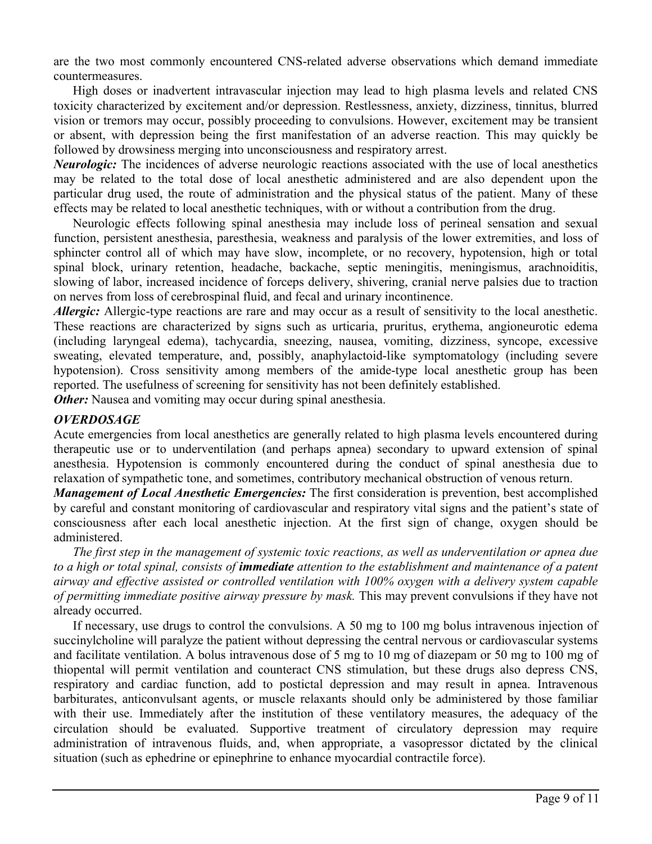are the two most commonly encountered CNS-related adverse observations which demand immediate countermeasures.

High doses or inadvertent intravascular injection may lead to high plasma levels and related CNS toxicity characterized by excitement and/or depression. Restlessness, anxiety, dizziness, tinnitus, blurred vision or tremors may occur, possibly proceeding to convulsions. However, excitement may be transient or absent, with depression being the first manifestation of an adverse reaction. This may quickly be followed by drowsiness merging into unconsciousness and respiratory arrest.

*Neurologic:* The incidences of adverse neurologic reactions associated with the use of local anesthetics may be related to the total dose of local anesthetic administered and are also dependent upon the particular drug used, the route of administration and the physical status of the patient. Many of these effects may be related to local anesthetic techniques, with or without a contribution from the drug.

Neurologic effects following spinal anesthesia may include loss of perineal sensation and sexual function, persistent anesthesia, paresthesia, weakness and paralysis of the lower extremities, and loss of sphincter control all of which may have slow, incomplete, or no recovery, hypotension, high or total spinal block, urinary retention, headache, backache, septic meningitis, meningismus, arachnoiditis, slowing of labor, increased incidence of forceps delivery, shivering, cranial nerve palsies due to traction on nerves from loss of cerebrospinal fluid, and fecal and urinary incontinence.

*Allergic:* Allergic-type reactions are rare and may occur as a result of sensitivity to the local anesthetic. These reactions are characterized by signs such as urticaria, pruritus, erythema, angioneurotic edema (including laryngeal edema), tachycardia, sneezing, nausea, vomiting, dizziness, syncope, excessive sweating, elevated temperature, and, possibly, anaphylactoid-like symptomatology (including severe hypotension). Cross sensitivity among members of the amide-type local anesthetic group has been reported. The usefulness of screening for sensitivity has not been definitely established.

*Other:* Nausea and vomiting may occur during spinal anesthesia.

#### *OVERDOSAGE*

Acute emergencies from local anesthetics are generally related to high plasma levels encountered during therapeutic use or to underventilation (and perhaps apnea) secondary to upward extension of spinal anesthesia. Hypotension is commonly encountered during the conduct of spinal anesthesia due to relaxation of sympathetic tone, and sometimes, contributory mechanical obstruction of venous return.

*Management of Local Anesthetic Emergencies:* The first consideration is prevention, best accomplished by careful and constant monitoring of cardiovascular and respiratory vital signs and the patient's state of consciousness after each local anesthetic injection. At the first sign of change, oxygen should be administered.

*The first step in the management of systemic toxic reactions, as well as underventilation or apnea due to a high or total spinal, consists of immediate attention to the establishment and maintenance of a patent airway and effective assisted or controlled ventilation with 100% oxygen with a delivery system capable of permitting immediate positive airway pressure by mask.* This may prevent convulsions if they have not already occurred.

If necessary, use drugs to control the convulsions. A 50 mg to 100 mg bolus intravenous injection of succinylcholine will paralyze the patient without depressing the central nervous or cardiovascular systems and facilitate ventilation. A bolus intravenous dose of 5 mg to 10 mg of diazepam or 50 mg to 100 mg of thiopental will permit ventilation and counteract CNS stimulation, but these drugs also depress CNS, respiratory and cardiac function, add to postictal depression and may result in apnea. Intravenous barbiturates, anticonvulsant agents, or muscle relaxants should only be administered by those familiar with their use. Immediately after the institution of these ventilatory measures, the adequacy of the circulation should be evaluated. Supportive treatment of circulatory depression may require administration of intravenous fluids, and, when appropriate, a vasopressor dictated by the clinical situation (such as ephedrine or epinephrine to enhance myocardial contractile force).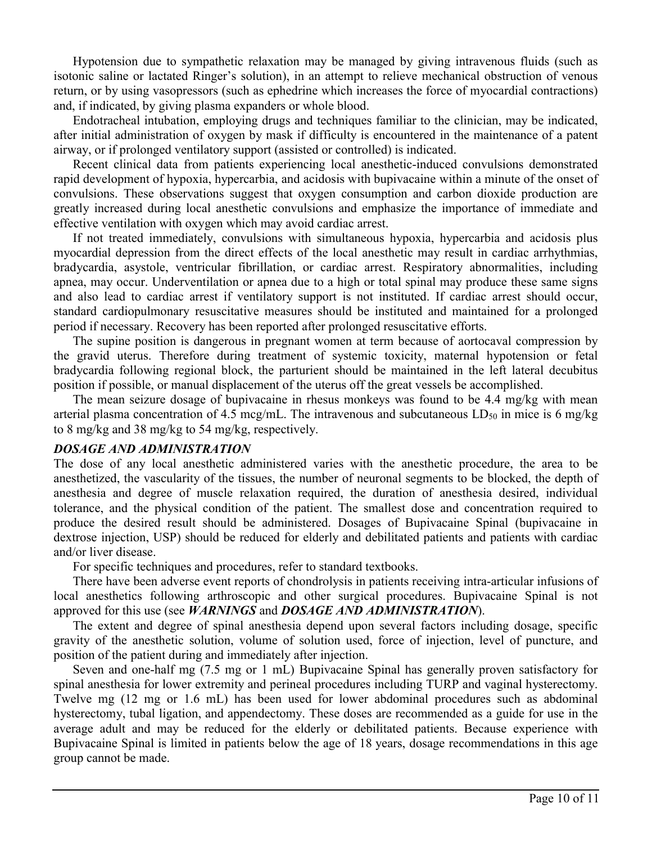Hypotension due to sympathetic relaxation may be managed by giving intravenous fluids (such as isotonic saline or lactated Ringer's solution), in an attempt to relieve mechanical obstruction of venous return, or by using vasopressors (such as ephedrine which increases the force of myocardial contractions) and, if indicated, by giving plasma expanders or whole blood.

Endotracheal intubation, employing drugs and techniques familiar to the clinician, may be indicated, after initial administration of oxygen by mask if difficulty is encountered in the maintenance of a patent airway, or if prolonged ventilatory support (assisted or controlled) is indicated.

Recent clinical data from patients experiencing local anesthetic-induced convulsions demonstrated rapid development of hypoxia, hypercarbia, and acidosis with bupivacaine within a minute of the onset of convulsions. These observations suggest that oxygen consumption and carbon dioxide production are greatly increased during local anesthetic convulsions and emphasize the importance of immediate and effective ventilation with oxygen which may avoid cardiac arrest.

If not treated immediately, convulsions with simultaneous hypoxia, hypercarbia and acidosis plus myocardial depression from the direct effects of the local anesthetic may result in cardiac arrhythmias, bradycardia, asystole, ventricular fibrillation, or cardiac arrest. Respiratory abnormalities, including apnea, may occur. Underventilation or apnea due to a high or total spinal may produce these same signs and also lead to cardiac arrest if ventilatory support is not instituted. If cardiac arrest should occur, standard cardiopulmonary resuscitative measures should be instituted and maintained for a prolonged period if necessary. Recovery has been reported after prolonged resuscitative efforts.

The supine position is dangerous in pregnant women at term because of aortocaval compression by the gravid uterus. Therefore during treatment of systemic toxicity, maternal hypotension or fetal bradycardia following regional block, the parturient should be maintained in the left lateral decubitus position if possible, or manual displacement of the uterus off the great vessels be accomplished.

The mean seizure dosage of bupivacaine in rhesus monkeys was found to be 4.4 mg/kg with mean arterial plasma concentration of 4.5 mcg/mL. The intravenous and subcutaneous  $LD_{50}$  in mice is 6 mg/kg to 8 mg/kg and 38 mg/kg to 54 mg/kg, respectively.

#### *DOSAGE AND ADMINISTRATION*

The dose of any local anesthetic administered varies with the anesthetic procedure, the area to be anesthetized, the vascularity of the tissues, the number of neuronal segments to be blocked, the depth of anesthesia and degree of muscle relaxation required, the duration of anesthesia desired, individual tolerance, and the physical condition of the patient. The smallest dose and concentration required to produce the desired result should be administered. Dosages of Bupivacaine Spinal (bupivacaine in dextrose injection, USP) should be reduced for elderly and debilitated patients and patients with cardiac and/or liver disease.

For specific techniques and procedures, refer to standard textbooks.

There have been adverse event reports of chondrolysis in patients receiving intra-articular infusions of local anesthetics following arthroscopic and other surgical procedures. Bupivacaine Spinal is not approved for this use (see *WARNINGS* and *DOSAGE AND ADMINISTRATION*).

The extent and degree of spinal anesthesia depend upon several factors including dosage, specific gravity of the anesthetic solution, volume of solution used, force of injection, level of puncture, and position of the patient during and immediately after injection.

Seven and one-half mg (7.5 mg or 1 mL) Bupivacaine Spinal has generally proven satisfactory for spinal anesthesia for lower extremity and perineal procedures including TURP and vaginal hysterectomy. Twelve mg (12 mg or 1.6 mL) has been used for lower abdominal procedures such as abdominal hysterectomy, tubal ligation, and appendectomy. These doses are recommended as a guide for use in the average adult and may be reduced for the elderly or debilitated patients. Because experience with Bupivacaine Spinal is limited in patients below the age of 18 years, dosage recommendations in this age group cannot be made.